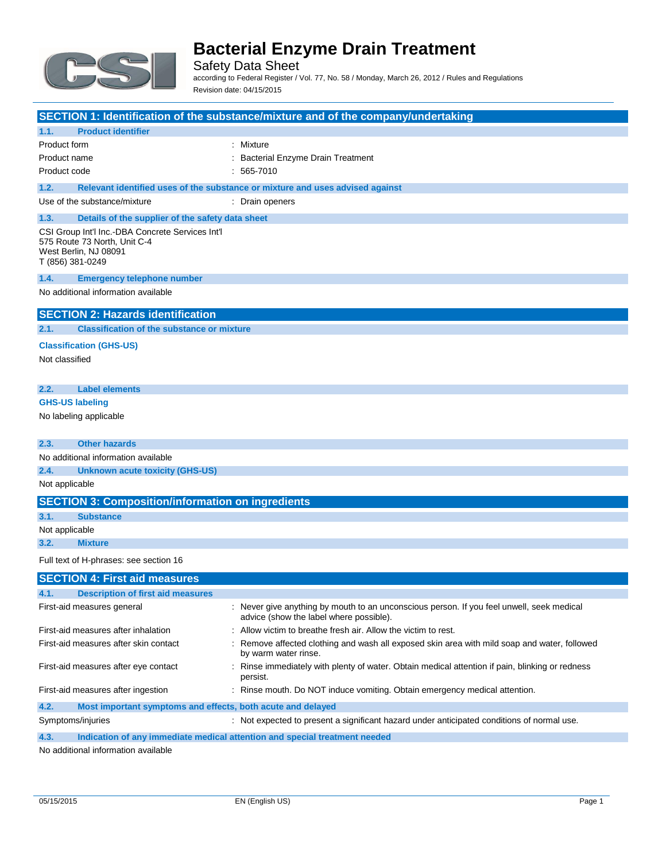

Safety Data Sheet according to Federal Register / Vol. 77, No. 58 / Monday, March 26, 2012 / Rules and Regulations Revision date: 04/15/2015

|                                                                                                                               | SECTION 1: Identification of the substance/mixture and of the company/undertaking                                                    |
|-------------------------------------------------------------------------------------------------------------------------------|--------------------------------------------------------------------------------------------------------------------------------------|
| <b>Product identifier</b><br>1.1.                                                                                             |                                                                                                                                      |
| Product form                                                                                                                  | : Mixture                                                                                                                            |
| Product name                                                                                                                  | : Bacterial Enzyme Drain Treatment                                                                                                   |
| Product code                                                                                                                  | $: 565-7010$                                                                                                                         |
| 1.2.                                                                                                                          | Relevant identified uses of the substance or mixture and uses advised against                                                        |
| Use of the substance/mixture                                                                                                  | : Drain openers                                                                                                                      |
| 1.3.<br>Details of the supplier of the safety data sheet                                                                      |                                                                                                                                      |
| CSI Group Int'l Inc.-DBA Concrete Services Int'l<br>575 Route 73 North, Unit C-4<br>West Berlin, NJ 08091<br>T (856) 381-0249 |                                                                                                                                      |
| 1.4.<br><b>Emergency telephone number</b>                                                                                     |                                                                                                                                      |
| No additional information available                                                                                           |                                                                                                                                      |
| <b>SECTION 2: Hazards identification</b>                                                                                      |                                                                                                                                      |
| <b>Classification of the substance or mixture</b><br>2.1.                                                                     |                                                                                                                                      |
| <b>Classification (GHS-US)</b><br>Not classified                                                                              |                                                                                                                                      |
| 2.2.<br><b>Label elements</b>                                                                                                 |                                                                                                                                      |
| <b>GHS-US labeling</b>                                                                                                        |                                                                                                                                      |
| No labeling applicable                                                                                                        |                                                                                                                                      |
| <b>Other hazards</b><br>2.3.                                                                                                  |                                                                                                                                      |
| No additional information available                                                                                           |                                                                                                                                      |
| 2.4.<br><b>Unknown acute toxicity (GHS-US)</b>                                                                                |                                                                                                                                      |
| Not applicable                                                                                                                |                                                                                                                                      |
| <b>SECTION 3: Composition/information on ingredients</b>                                                                      |                                                                                                                                      |
| 3.1.<br><b>Substance</b>                                                                                                      |                                                                                                                                      |
| Not applicable                                                                                                                |                                                                                                                                      |
| 3.2.<br><b>Mixture</b>                                                                                                        |                                                                                                                                      |
| Full text of H-phrases: see section 16                                                                                        |                                                                                                                                      |
| <b>SECTION 4: First aid measures</b>                                                                                          |                                                                                                                                      |
| 4.1. Description of first aid measures                                                                                        |                                                                                                                                      |
| First-aid measures general                                                                                                    | : Never give anything by mouth to an unconscious person. If you feel unwell, seek medical<br>advice (show the label where possible). |
| First-aid measures after inhalation                                                                                           | : Allow victim to breathe fresh air. Allow the victim to rest.                                                                       |
| First-aid measures after skin contact                                                                                         | : Remove affected clothing and wash all exposed skin area with mild soap and water, followed<br>by warm water rinse.                 |
| First-aid measures after eye contact                                                                                          | : Rinse immediately with plenty of water. Obtain medical attention if pain, blinking or redness<br>persist.                          |
| First-aid measures after ingestion                                                                                            | : Rinse mouth. Do NOT induce vomiting. Obtain emergency medical attention.                                                           |
| 4.2.<br>Most important symptoms and effects, both acute and delayed                                                           |                                                                                                                                      |
| Symptoms/injuries                                                                                                             | : Not expected to present a significant hazard under anticipated conditions of normal use.                                           |

**4.3. Indication of any immediate medical attention and special treatment needed**

No additional information available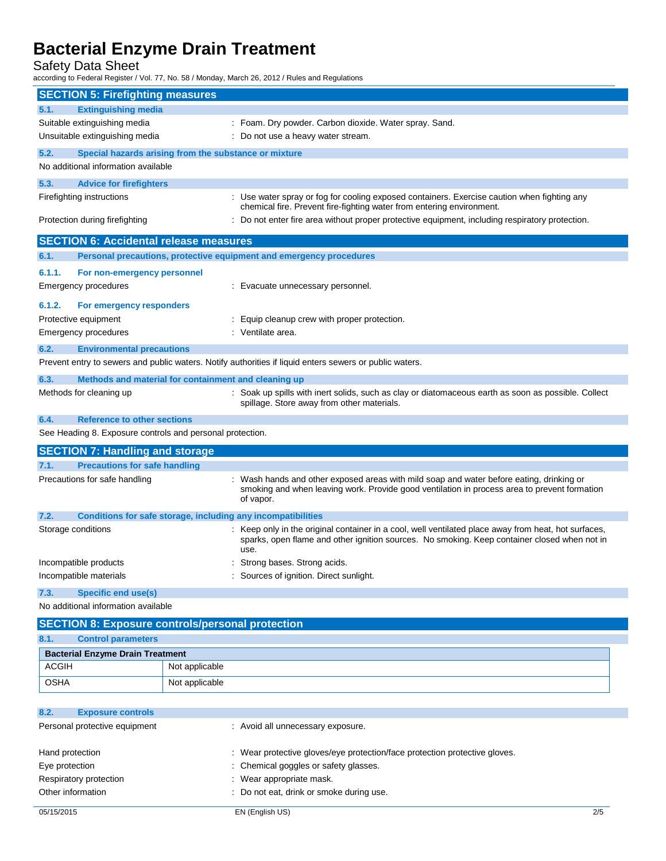Safety Data Sheet

according to Federal Register / Vol. 77, No. 58 / Monday, March 26, 2012 / Rules and Regulations

| <b>SECTION 5: Firefighting measures</b>                                                                                                                                                           |                                                                                                                                                                                                              |  |  |
|---------------------------------------------------------------------------------------------------------------------------------------------------------------------------------------------------|--------------------------------------------------------------------------------------------------------------------------------------------------------------------------------------------------------------|--|--|
| <b>Extinguishing media</b><br>5.1.                                                                                                                                                                |                                                                                                                                                                                                              |  |  |
| Suitable extinguishing media                                                                                                                                                                      | : Foam. Dry powder. Carbon dioxide. Water spray. Sand.                                                                                                                                                       |  |  |
| Unsuitable extinguishing media                                                                                                                                                                    | : Do not use a heavy water stream.                                                                                                                                                                           |  |  |
| 5.2.<br>Special hazards arising from the substance or mixture                                                                                                                                     |                                                                                                                                                                                                              |  |  |
| No additional information available                                                                                                                                                               |                                                                                                                                                                                                              |  |  |
| 5.3.<br><b>Advice for firefighters</b>                                                                                                                                                            |                                                                                                                                                                                                              |  |  |
| Firefighting instructions<br>: Use water spray or fog for cooling exposed containers. Exercise caution when fighting any<br>chemical fire. Prevent fire-fighting water from entering environment. |                                                                                                                                                                                                              |  |  |
| Protection during firefighting                                                                                                                                                                    | : Do not enter fire area without proper protective equipment, including respiratory protection.                                                                                                              |  |  |
| <b>SECTION 6: Accidental release measures</b>                                                                                                                                                     |                                                                                                                                                                                                              |  |  |
| Personal precautions, protective equipment and emergency procedures<br>6.1.                                                                                                                       |                                                                                                                                                                                                              |  |  |
| 6.1.1.<br>For non-emergency personnel                                                                                                                                                             |                                                                                                                                                                                                              |  |  |
| Emergency procedures                                                                                                                                                                              | : Evacuate unnecessary personnel.                                                                                                                                                                            |  |  |
| 6.1.2.<br>For emergency responders                                                                                                                                                                |                                                                                                                                                                                                              |  |  |
| Protective equipment                                                                                                                                                                              | Equip cleanup crew with proper protection.                                                                                                                                                                   |  |  |
| Emergency procedures                                                                                                                                                                              | : Ventilate area.                                                                                                                                                                                            |  |  |
| 6.2.<br><b>Environmental precautions</b>                                                                                                                                                          |                                                                                                                                                                                                              |  |  |
| Prevent entry to sewers and public waters. Notify authorities if liquid enters sewers or public waters.                                                                                           |                                                                                                                                                                                                              |  |  |
| 6.3.<br>Methods and material for containment and cleaning up                                                                                                                                      |                                                                                                                                                                                                              |  |  |
| Methods for cleaning up                                                                                                                                                                           | : Soak up spills with inert solids, such as clay or diatomaceous earth as soon as possible. Collect<br>spillage. Store away from other materials.                                                            |  |  |
| <b>Reference to other sections</b><br>6.4.                                                                                                                                                        |                                                                                                                                                                                                              |  |  |
| See Heading 8. Exposure controls and personal protection.                                                                                                                                         |                                                                                                                                                                                                              |  |  |
| <b>SECTION 7: Handling and storage</b>                                                                                                                                                            |                                                                                                                                                                                                              |  |  |
| <b>Precautions for safe handling</b><br>7.1.                                                                                                                                                      |                                                                                                                                                                                                              |  |  |
| Precautions for safe handling                                                                                                                                                                     | Wash hands and other exposed areas with mild soap and water before eating, drinking or<br>smoking and when leaving work. Provide good ventilation in process area to prevent formation<br>of vapor.          |  |  |
| 7.2.<br>Conditions for safe storage, including any incompatibilities                                                                                                                              |                                                                                                                                                                                                              |  |  |
| Storage conditions                                                                                                                                                                                | : Keep only in the original container in a cool, well ventilated place away from heat, hot surfaces,<br>sparks, open flame and other ignition sources. No smoking. Keep container closed when not in<br>use. |  |  |
| Incompatible products                                                                                                                                                                             | : Strong bases. Strong acids.                                                                                                                                                                                |  |  |
| Incompatible materials                                                                                                                                                                            | : Sources of ignition. Direct sunlight.                                                                                                                                                                      |  |  |
| 7.3.<br><b>Specific end use(s)</b>                                                                                                                                                                |                                                                                                                                                                                                              |  |  |
| No additional information available                                                                                                                                                               |                                                                                                                                                                                                              |  |  |
| <b>SECTION 8: Exposure controls/personal protection</b>                                                                                                                                           |                                                                                                                                                                                                              |  |  |
| 8.1.<br><b>Control parameters</b>                                                                                                                                                                 |                                                                                                                                                                                                              |  |  |
| <b>Bacterial Enzyme Drain Treatment</b>                                                                                                                                                           |                                                                                                                                                                                                              |  |  |
| <b>ACGIH</b><br>Not applicable                                                                                                                                                                    |                                                                                                                                                                                                              |  |  |
| <b>OSHA</b><br>Not applicable                                                                                                                                                                     |                                                                                                                                                                                                              |  |  |
| 8.2.<br><b>Exposure controls</b>                                                                                                                                                                  |                                                                                                                                                                                                              |  |  |
| Personal protective equipment                                                                                                                                                                     | : Avoid all unnecessary exposure.                                                                                                                                                                            |  |  |

| Hand protection        | : Wear protective gloves/eye protection/face protection protective gloves. |
|------------------------|----------------------------------------------------------------------------|
| Eye protection         | : Chemical goggles or safety glasses.                                      |
| Respiratory protection | $\therefore$ Wear appropriate mask.                                        |
| Other information      | : Do not eat, drink or smoke during use.                                   |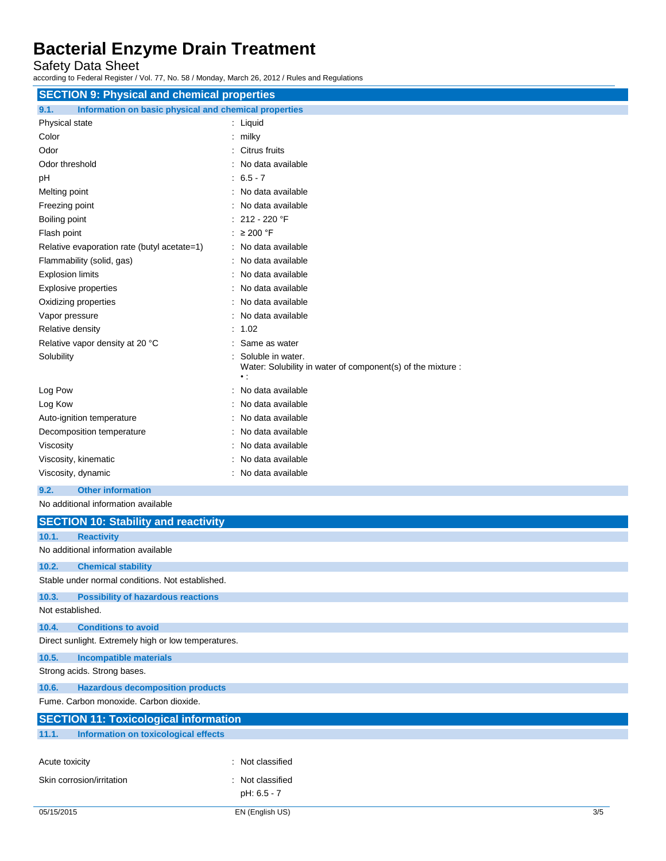Safety Data Sheet

according to Federal Register / Vol. 77, No. 58 / Monday, March 26, 2012 / Rules and Regulations

| <b>SECTION 9: Physical and chemical properties</b>            |                                                                                                 |
|---------------------------------------------------------------|-------------------------------------------------------------------------------------------------|
| Information on basic physical and chemical properties<br>9.1. |                                                                                                 |
| Physical state                                                | : Liquid                                                                                        |
| Color                                                         | : milky                                                                                         |
| Odor                                                          | : Citrus fruits                                                                                 |
| Odor threshold                                                | No data available                                                                               |
| pH                                                            | $: 6.5 - 7$                                                                                     |
| Melting point                                                 | No data available                                                                               |
| Freezing point                                                | No data available                                                                               |
| Boiling point                                                 | 212 - 220 °F                                                                                    |
| Flash point                                                   | : $\geq 200$ °F                                                                                 |
| Relative evaporation rate (butyl acetate=1)                   | : No data available                                                                             |
| Flammability (solid, gas)                                     | No data available                                                                               |
| <b>Explosion limits</b>                                       | : No data available                                                                             |
| Explosive properties                                          | No data available                                                                               |
| Oxidizing properties                                          | No data available                                                                               |
| Vapor pressure                                                | No data available                                                                               |
| Relative density                                              | : 1.02                                                                                          |
| Relative vapor density at 20 °C                               | Same as water                                                                                   |
| Solubility                                                    | Soluble in water.<br>Water: Solubility in water of component(s) of the mixture :<br>$\bullet$ : |
| Log Pow                                                       | No data available                                                                               |
| Log Kow                                                       | No data available                                                                               |
| Auto-ignition temperature                                     | : No data available                                                                             |
| Decomposition temperature                                     | No data available                                                                               |
| Viscosity                                                     | No data available                                                                               |
| Viscosity, kinematic                                          | No data available                                                                               |
| Viscosity, dynamic                                            | : No data available                                                                             |
| <b>Other information</b><br>9.2.                              |                                                                                                 |
| No additional information available                           |                                                                                                 |
| <b>SECTION 10: Stability and reactivity</b>                   |                                                                                                 |
| 10.1.<br><b>Reactivity</b>                                    |                                                                                                 |
| No additional information available                           |                                                                                                 |
| 10.2.<br><b>Chemical stability</b>                            |                                                                                                 |
| Stable under normal conditions. Not established.              |                                                                                                 |
| 10.3.<br><b>Possibility of hazardous reactions</b>            |                                                                                                 |
| Not established.                                              |                                                                                                 |
| 10.4.<br><b>Conditions to avoid</b>                           |                                                                                                 |
| Direct sunlight. Extremely high or low temperatures.          |                                                                                                 |
| <b>Incompatible materials</b><br>10.5.                        |                                                                                                 |

Strong acids. Strong bases.

**10.6. Hazardous decomposition products**

Fume. Carbon monoxide. Carbon dioxide.

| <b>SECTION 11: Toxicological information</b> |                                      |                  |
|----------------------------------------------|--------------------------------------|------------------|
| 11.1.                                        | Information on toxicological effects |                  |
|                                              |                                      |                  |
|                                              |                                      |                  |
| Acute toxicity                               |                                      | : Not classified |
|                                              | Skin corrosion/irritation            | : Not classified |
|                                              |                                      | pH: 6.5 - 7      |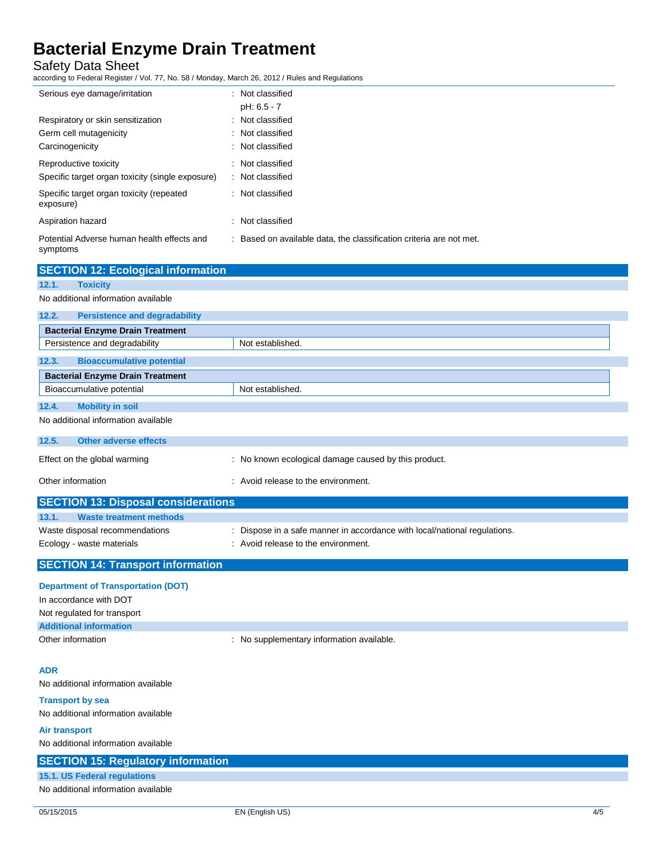Safety Data Sheet

according to Federal Register / Vol. 77, No. 58 / Monday, March 26, 2012 / Rules and Regulations

| Serious eye damage/irritation                                                  | : Not classified<br>pH: 6.5 - 7                                     |
|--------------------------------------------------------------------------------|---------------------------------------------------------------------|
| Respiratory or skin sensitization<br>Germ cell mutagenicity<br>Carcinogenicity | : Not classified<br>: Not classified<br>: Not classified            |
| Reproductive toxicity<br>Specific target organ toxicity (single exposure)      | : Not classified<br>: Not classified                                |
| Specific target organ toxicity (repeated<br>exposure)                          | : Not classified                                                    |
| Aspiration hazard                                                              | : Not classified                                                    |
| Potential Adverse human health effects and<br>symptoms                         | : Based on available data, the classification criteria are not met. |

| <b>SECTION 12: Ecological information</b>     |                                                                           |
|-----------------------------------------------|---------------------------------------------------------------------------|
| 12.1.<br><b>Toxicity</b>                      |                                                                           |
| No additional information available           |                                                                           |
| <b>Persistence and degradability</b><br>12.2. |                                                                           |
| <b>Bacterial Enzyme Drain Treatment</b>       |                                                                           |
| Persistence and degradability                 | Not established.                                                          |
| <b>Bioaccumulative potential</b><br>12.3.     |                                                                           |
| <b>Bacterial Enzyme Drain Treatment</b>       |                                                                           |
| Bioaccumulative potential                     | Not established.                                                          |
| <b>Mobility in soil</b><br>12.4.              |                                                                           |
| No additional information available           |                                                                           |
| Other adverse effects<br>12.5.                |                                                                           |
| Effect on the global warming                  | : No known ecological damage caused by this product.                      |
| Other information                             | : Avoid release to the environment.                                       |
| <b>SECTION 13: Disposal considerations</b>    |                                                                           |
| <b>Waste treatment methods</b><br>13.1.       |                                                                           |
| Waste disposal recommendations                | : Dispose in a safe manner in accordance with local/national regulations. |
| Ecology - waste materials                     | : Avoid release to the environment.                                       |
| <b>SECTION 14: Transport information</b>      |                                                                           |

### **Department of Transportation (DOT)**

| In accordance with DOT        |                                         |
|-------------------------------|-----------------------------------------|
| Not regulated for transport   |                                         |
| <b>Additional information</b> |                                         |
| Other information             | No supplementary information available. |

### **ADR**

No additional information available

#### **Transport by sea** No additional information available

**Air transport** No additional information available

| <b>TVO QUULIUTIQI ILIUTILQUUTI QVQIIQDIU</b> |
|----------------------------------------------|
| <b>SECTION 15: Regulatory information</b>    |
| 15.1. US Federal regulations                 |
| No additional information available          |